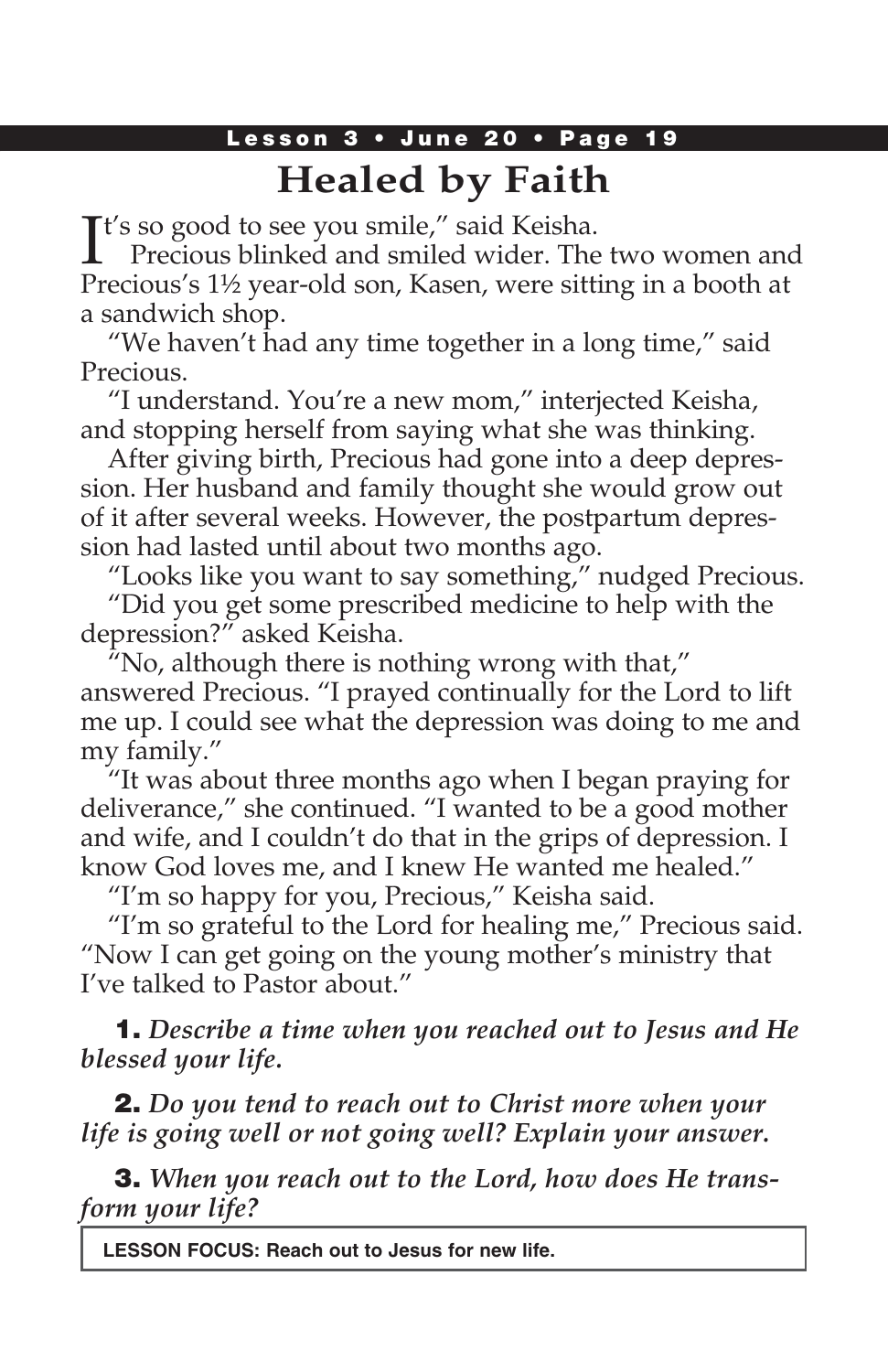## Lesson 3 • June 20 • Page 19 **Healed by Faith**

It's so good to see you smile," said Keisha.<br>Precious blinked and smiled wider. The Precious blinked and smiled wider. The two women and Precious's 1½ year-old son, Kasen, were sitting in a booth at a sandwich shop.

"We haven't had any time together in a long time," said Precious.

"I understand. You're a new mom," interjected Keisha, and stopping herself from saying what she was thinking.

After giving birth, Precious had gone into a deep depression. Her husband and family thought she would grow out of it after several weeks. However, the postpartum depression had lasted until about two months ago.

"Looks like you want to say something," nudged Precious.

"Did you get some prescribed medicine to help with the depression?" asked Keisha.

"No, although there is nothing wrong with that," answered Precious. "I prayed continually for the Lord to lift me up. I could see what the depression was doing to me and my family."

"It was about three months ago when I began praying for deliverance," she continued. "I wanted to be a good mother and wife, and I couldn't do that in the grips of depression. I know God loves me, and I knew He wanted me healed."

"I'm so happy for you, Precious," Keisha said.

"I'm so grateful to the Lord for healing me," Precious said. "Now I can get going on the young mother's ministry that I've talked to Pastor about."

1. *Describe a time when you reached out to Jesus and He blessed your life.*

2. *Do you tend to reach out to Christ more when your life is going well or not going well? Explain your answer.*

3. *When you reach out to the Lord, how does He transform your life?*

**LESSON FOCUS: Reach out to Jesus for new life.**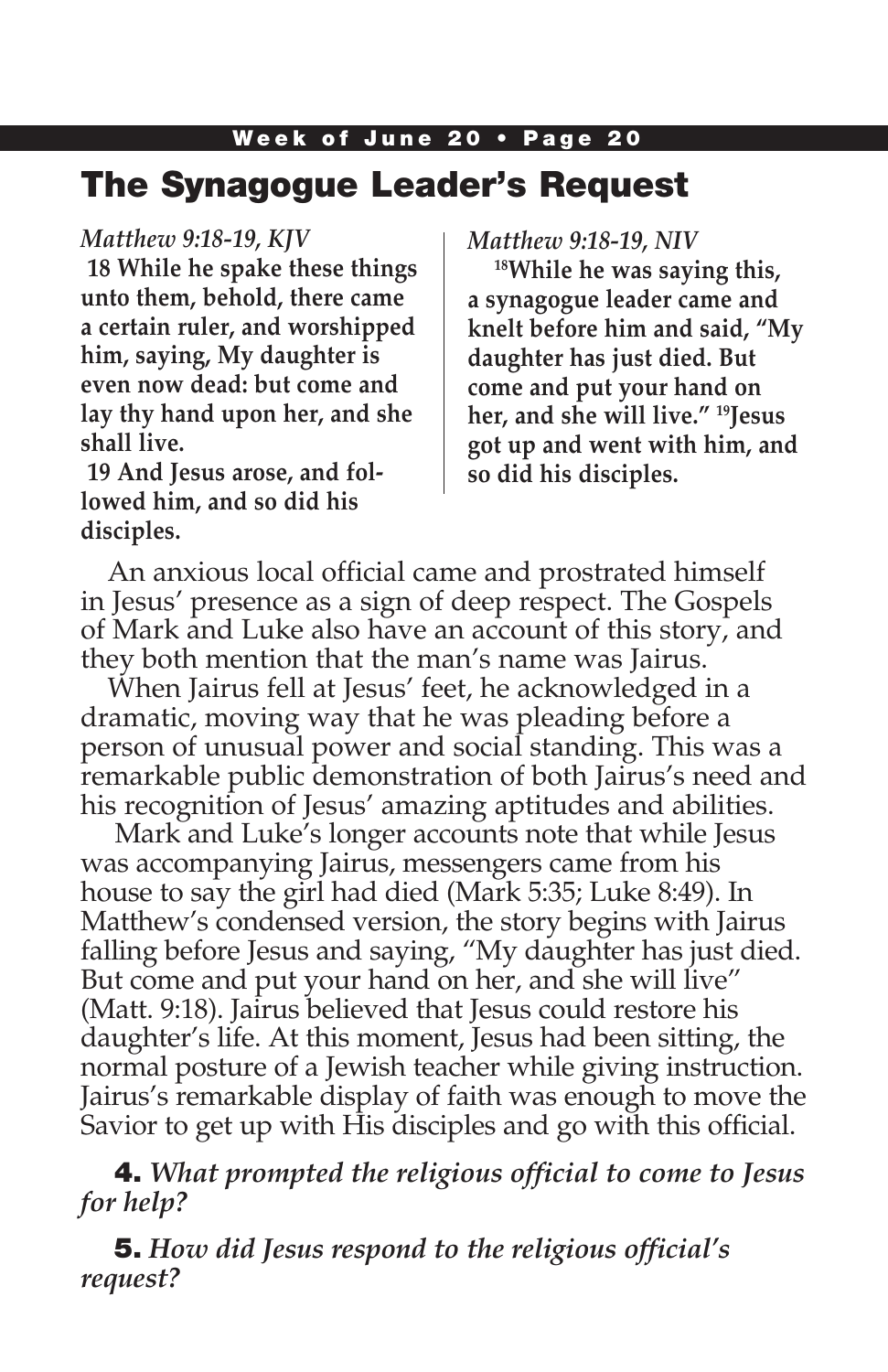# The Synagogue Leader's Request

### *Matthew 9:18-19, KJV*

**18 While he spake these things unto them, behold, there came a certain ruler, and worshipped him, saying, My daughter is even now dead: but come and lay thy hand upon her, and she shall live.**

**19 And Jesus arose, and followed him, and so did his disciples.**

*Matthew 9:18-19, NIV*

**18While he was saying this, a synagogue leader came and knelt before him and said, "My daughter has just died. But come and put your hand on her, and she will live." 19Jesus got up and went with him, and so did his disciples.**

An anxious local official came and prostrated himself in Jesus' presence as a sign of deep respect. The Gospels of Mark and Luke also have an account of this story, and they both mention that the man's name was Jairus.

When Jairus fell at Jesus' feet, he acknowledged in a dramatic, moving way that he was pleading before a person of unusual power and social standing. This was a remarkable public demonstration of both Jairus's need and his recognition of Jesus' amazing aptitudes and abilities.

 Mark and Luke's longer accounts note that while Jesus was accompanying Jairus, messengers came from his house to say the girl had died (Mark 5:35; Luke 8:49). In Matthew's condensed version, the story begins with Jairus falling before Jesus and saying, "My daughter has just died. But come and put your hand on her, and she will live" (Matt. 9:18). Jairus believed that Jesus could restore his daughter's life. At this moment, Jesus had been sitting, the normal posture of a Jewish teacher while giving instruction. Jairus's remarkable display of faith was enough to move the Savior to get up with His disciples and go with this official.

### 4. *What prompted the religious official to come to Jesus for help?*

5. *How did Jesus respond to the religious official's request?*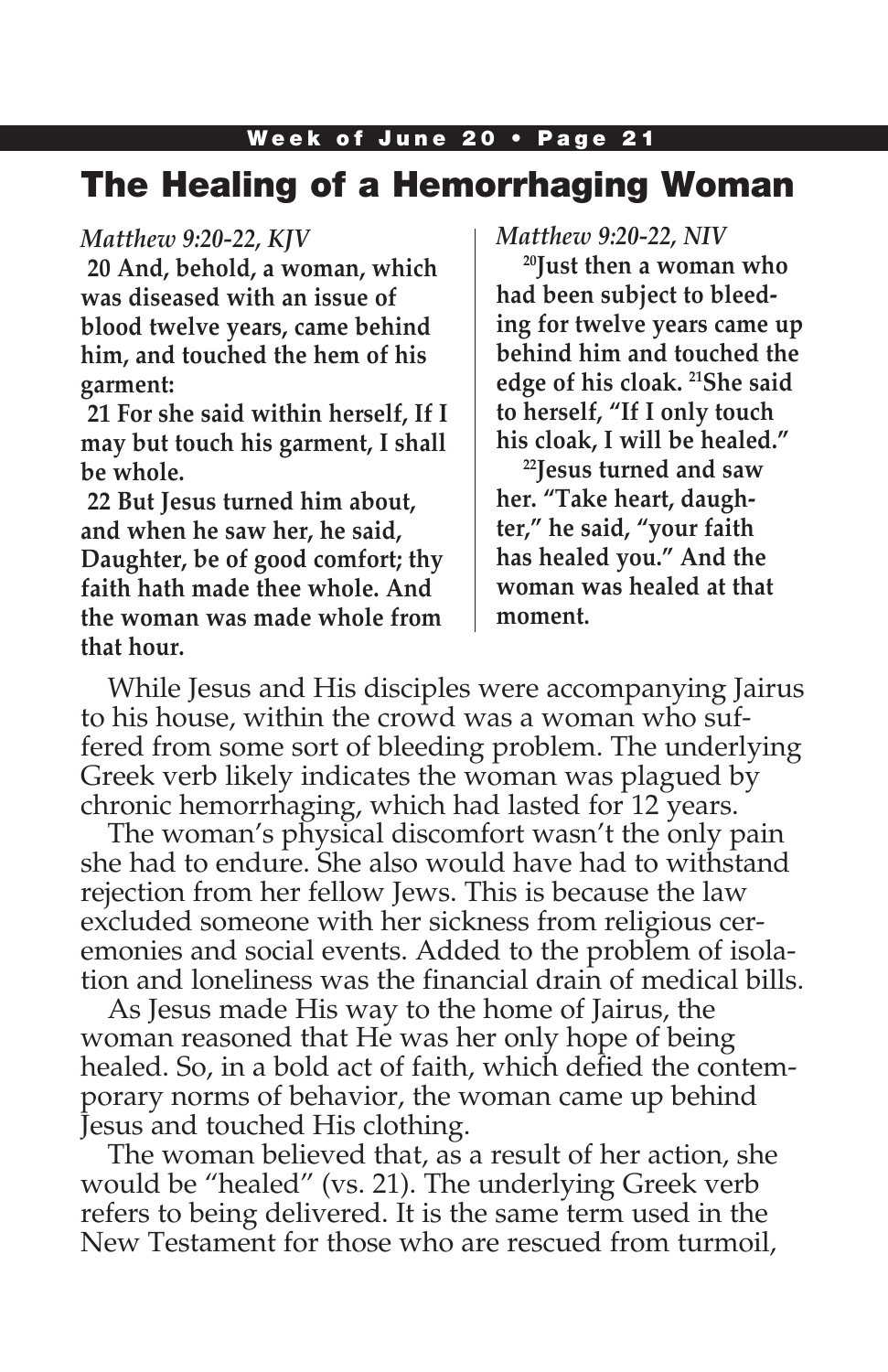## Week of June 20 • Page 21 The Healing of a Hemorrhaging Woman

#### *Matthew 9:20-22, KJV*

**20 And, behold, a woman, which was diseased with an issue of blood twelve years, came behind him, and touched the hem of his garment:**

**21 For she said within herself, If I may but touch his garment, I shall be whole.**

**22 But Jesus turned him about, and when he saw her, he said, Daughter, be of good comfort; thy faith hath made thee whole. And the woman was made whole from that hour.**

#### *Matthew 9:20-22, NIV*

**20Just then a woman who had been subject to bleeding for twelve years came up behind him and touched the edge of his cloak. 21She said to herself, "If I only touch his cloak, I will be healed."**

**22Jesus turned and saw her. "Take heart, daughter," he said, "your faith has healed you." And the woman was healed at that moment.**

While Jesus and His disciples were accompanying Jairus to his house, within the crowd was a woman who suffered from some sort of bleeding problem. The underlying Greek verb likely indicates the woman was plagued by chronic hemorrhaging, which had lasted for 12 years.

The woman's physical discomfort wasn't the only pain she had to endure. She also would have had to withstand rejection from her fellow Jews. This is because the law excluded someone with her sickness from religious ceremonies and social events. Added to the problem of isolation and loneliness was the financial drain of medical bills.

As Jesus made His way to the home of Jairus, the woman reasoned that He was her only hope of being healed. So, in a bold act of faith, which defied the contemporary norms of behavior, the woman came up behind Jesus and touched His clothing.

The woman believed that, as a result of her action, she would be "healed" (vs. 21). The underlying Greek verb refers to being delivered. It is the same term used in the New Testament for those who are rescued from turmoil,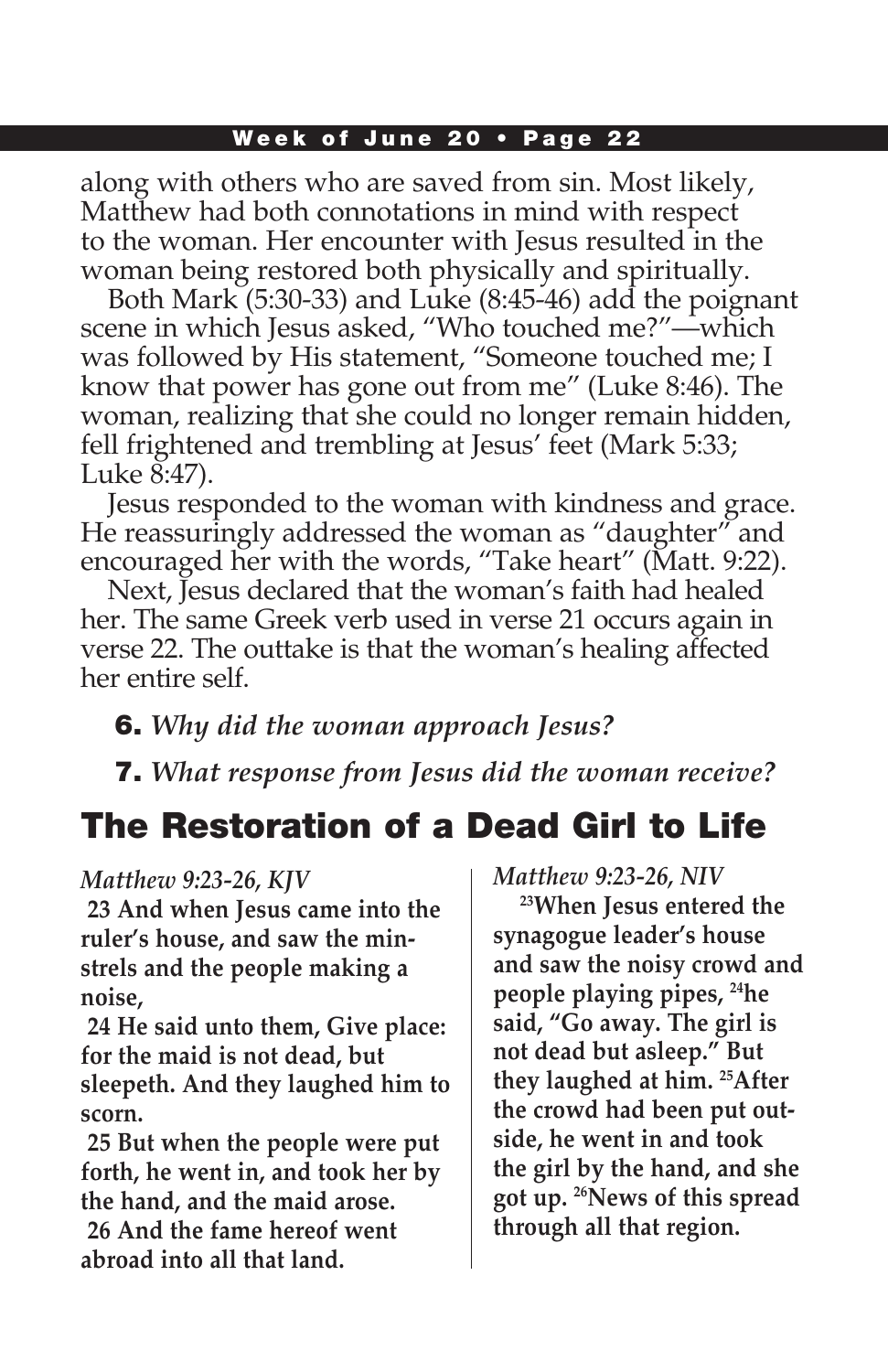#### Week of June 20 • Page 22

along with others who are saved from sin. Most likely, Matthew had both connotations in mind with respect to the woman. Her encounter with Jesus resulted in the woman being restored both physically and spiritually.

Both Mark (5:30-33) and Luke (8:45-46) add the poignant scene in which Jesus asked, "Who touched me?"—which was followed by His statement, "Someone touched me; I know that power has gone out from me" (Luke 8:46). The woman, realizing that she could no longer remain hidden, fell frightened and trembling at Jesus' feet (Mark 5:33; Luke 8:47).

Jesus responded to the woman with kindness and grace. He reassuringly addressed the woman as "daughter" and encouraged her with the words, "Take heart" (Matt. 9:22).

Next, Jesus declared that the woman's faith had healed her. The same Greek verb used in verse 21 occurs again in verse 22. The outtake is that the woman's healing affected her entire self.

6. *Why did the woman approach Jesus?*

7. *What response from Jesus did the woman receive?*

# The Restoration of a Dead Girl to Life

*Matthew 9:23-26, KJV*

**23 And when Jesus came into the ruler's house, and saw the minstrels and the people making a noise,**

**24 He said unto them, Give place: for the maid is not dead, but sleepeth. And they laughed him to scorn.**

**25 But when the people were put forth, he went in, and took her by the hand, and the maid arose.**

**26 And the fame hereof went abroad into all that land.**

*Matthew 9:23-26, NIV*

**23When Jesus entered the synagogue leader's house and saw the noisy crowd and people playing pipes, 24he said, "Go away. The girl is not dead but asleep." But they laughed at him. 25After the crowd had been put outside, he went in and took the girl by the hand, and she got up. 26News of this spread through all that region.**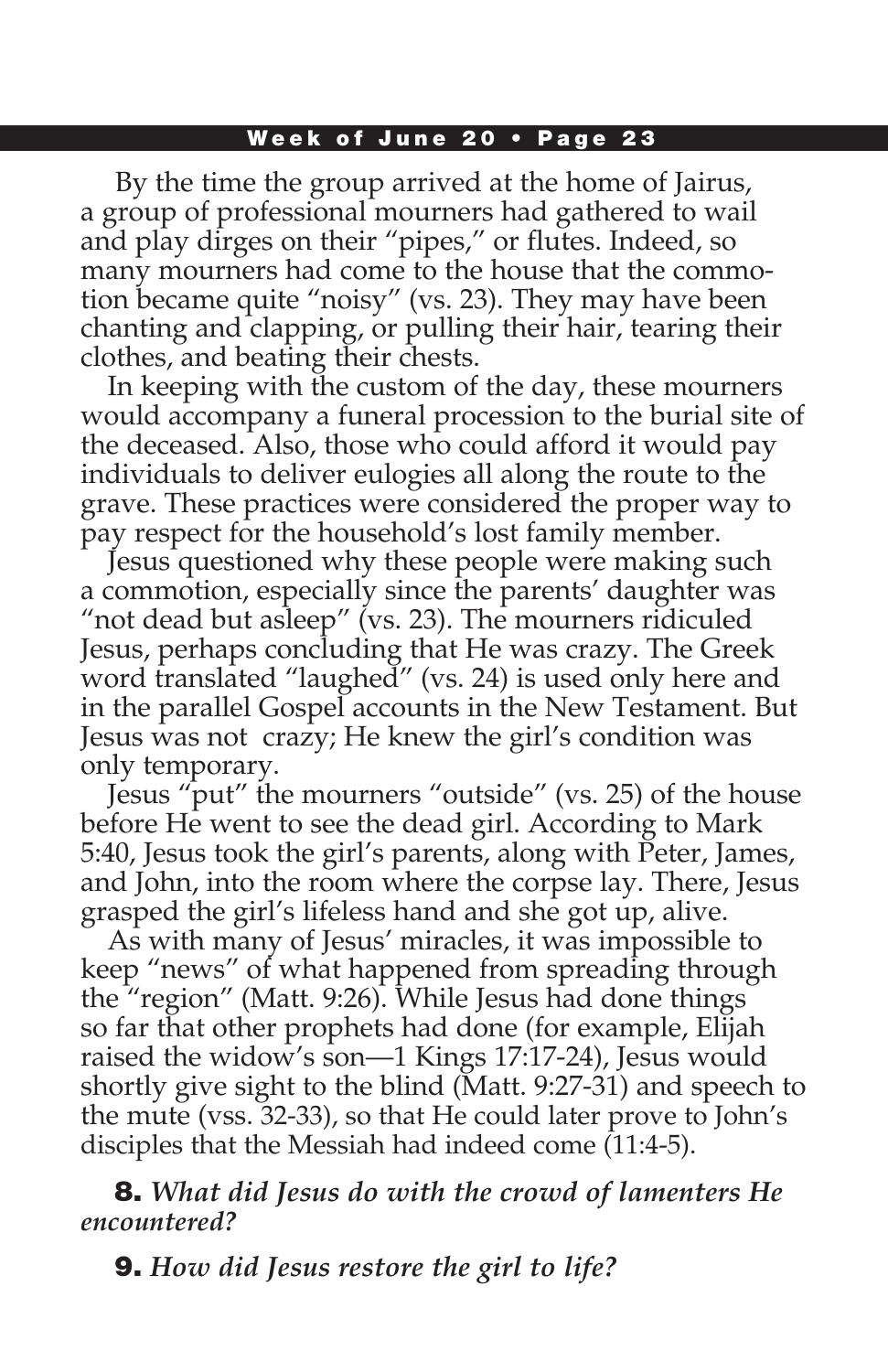#### Week of June 20 • Page 23

 By the time the group arrived at the home of Jairus, a group of professional mourners had gathered to wail and play dirges on their "pipes," or flutes. Indeed, so many mourners had come to the house that the commotion became quite "noisy" (vs. 23). They may have been chanting and clapping, or pulling their hair, tearing their clothes, and beating their chests.

In keeping with the custom of the day, these mourners would accompany a funeral procession to the burial site of the deceased. Also, those who could afford it would pay individuals to deliver eulogies all along the route to the grave. These practices were considered the proper way to pay respect for the household's lost family member.

Jesus questioned why these people were making such a commotion, especially since the parents' daughter was "not dead but asleep" (vs. 23). The mourners ridiculed Jesus, perhaps concluding that He was crazy. The Greek word translated "laughed" (vs. 24) is used only here and in the parallel Gospel accounts in the New Testament. But Jesus was not crazy; He knew the girl's condition was only temporary.

Jesus "put" the mourners "outside" (vs. 25) of the house before He went to see the dead girl. According to Mark 5:40, Jesus took the girl's parents, along with Peter, James, and John, into the room where the corpse lay. There, Jesus grasped the girl's lifeless hand and she got up, alive.

As with many of Jesus' miracles, it was impossible to keep "news" of what happened from spreading through the "region" (Matt. 9:26). While Jesus had done things so far that other prophets had done (for example, Elijah raised the widow's son—1 Kings 17:17-24), Jesus would shortly give sight to the blind (Matt. 9:27-31) and speech to the mute (vss. 32-33), so that He could later prove to John's disciples that the Messiah had indeed come (11:4-5).

8. *What did Jesus do with the crowd of lamenters He encountered?*

9. *How did Jesus restore the girl to life?*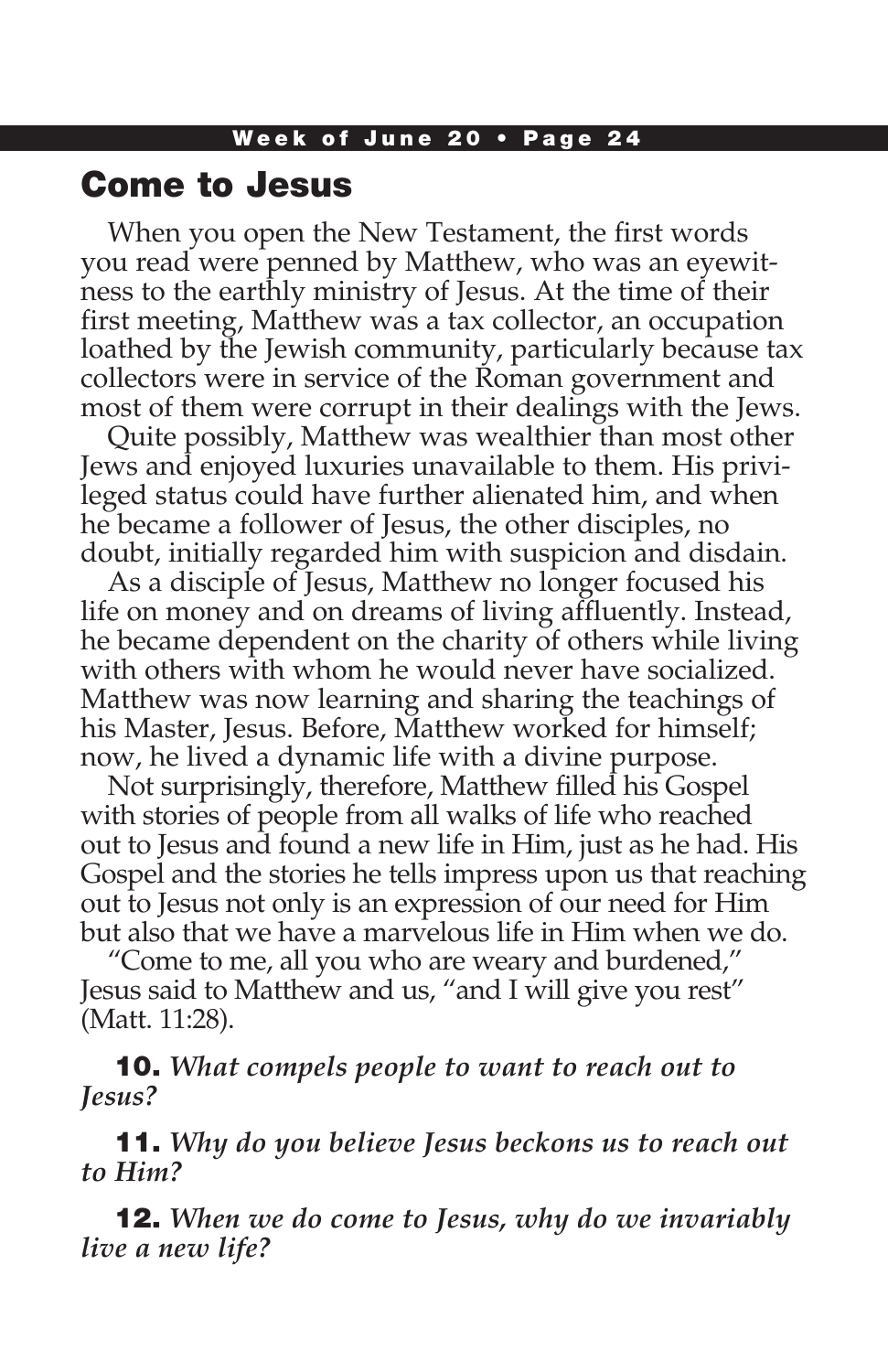## Come to Jesus

When you open the New Testament, the first words you read were penned by Matthew, who was an eyewitness to the earthly ministry of Jesus. At the time of their first meeting, Matthew was a tax collector, an occupation loathed by the Jewish community, particularly because tax collectors were in service of the Roman government and most of them were corrupt in their dealings with the Jews.

Quite possibly, Matthew was wealthier than most other Jews and enjoyed luxuries unavailable to them. His privileged status could have further alienated him, and when he became a follower of Jesus, the other disciples, no doubt, initially regarded him with suspicion and disdain.

As a disciple of Jesus, Matthew no longer focused his life on money and on dreams of living affluently. Instead, he became dependent on the charity of others while living with others with whom he would never have socialized. Matthew was now learning and sharing the teachings of his Master, Jesus. Before, Matthew worked for himself; now, he lived a dynamic life with a divine purpose.

Not surprisingly, therefore, Matthew filled his Gospel with stories of people from all walks of life who reached out to Jesus and found a new life in Him, just as he had. His Gospel and the stories he tells impress upon us that reaching out to Jesus not only is an expression of our need for Him but also that we have a marvelous life in Him when we do.

"Come to me, all you who are weary and burdened," Jesus said to Matthew and us, "and I will give you rest" (Matt. 11:28).

10. *What compels people to want to reach out to Jesus?*

11. *Why do you believe Jesus beckons us to reach out to Him?*

12. *When we do come to Jesus, why do we invariably live a new life?*